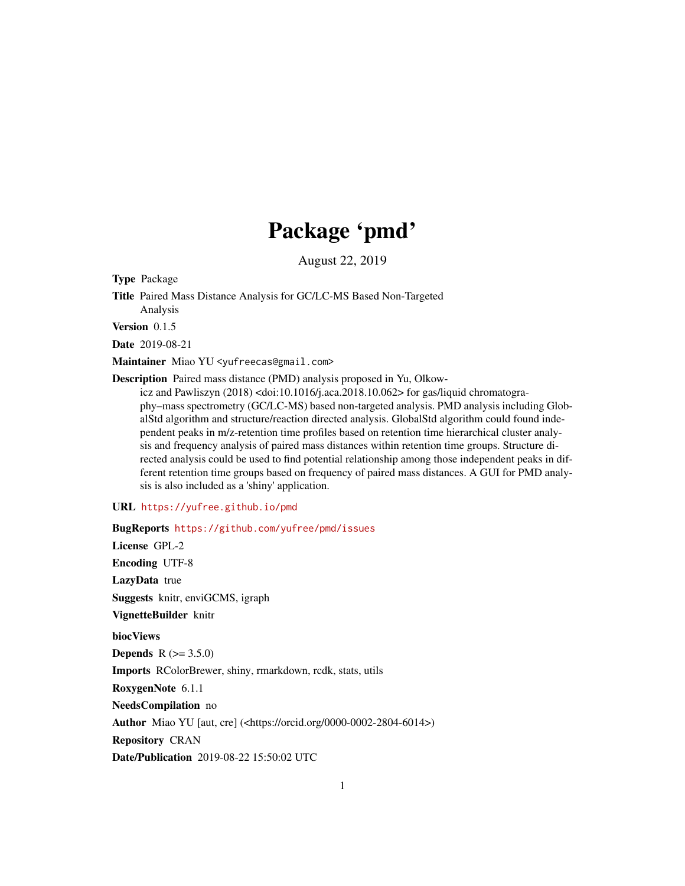# Package 'pmd'

August 22, 2019

Type Package

Title Paired Mass Distance Analysis for GC/LC-MS Based Non-Targeted Analysis

Version 0.1.5

Date 2019-08-21

Maintainer Miao YU <yufreecas@gmail.com>

Description Paired mass distance (PMD) analysis proposed in Yu, Olkow-

icz and Pawliszyn (2018) <doi:10.1016/j.aca.2018.10.062> for gas/liquid chromatography–mass spectrometry (GC/LC-MS) based non-targeted analysis. PMD analysis including GlobalStd algorithm and structure/reaction directed analysis. GlobalStd algorithm could found independent peaks in m/z-retention time profiles based on retention time hierarchical cluster analysis and frequency analysis of paired mass distances within retention time groups. Structure directed analysis could be used to find potential relationship among those independent peaks in different retention time groups based on frequency of paired mass distances. A GUI for PMD analysis is also included as a 'shiny' application.

#### URL <https://yufree.github.io/pmd>

BugReports <https://github.com/yufree/pmd/issues> License GPL-2 Encoding UTF-8 LazyData true Suggests knitr, enviGCMS, igraph VignetteBuilder knitr biocViews **Depends**  $R (= 3.5.0)$ Imports RColorBrewer, shiny, rmarkdown, rcdk, stats, utils RoxygenNote 6.1.1 NeedsCompilation no Author Miao YU [aut, cre] (<https://orcid.org/0000-0002-2804-6014>) Repository CRAN Date/Publication 2019-08-22 15:50:02 UTC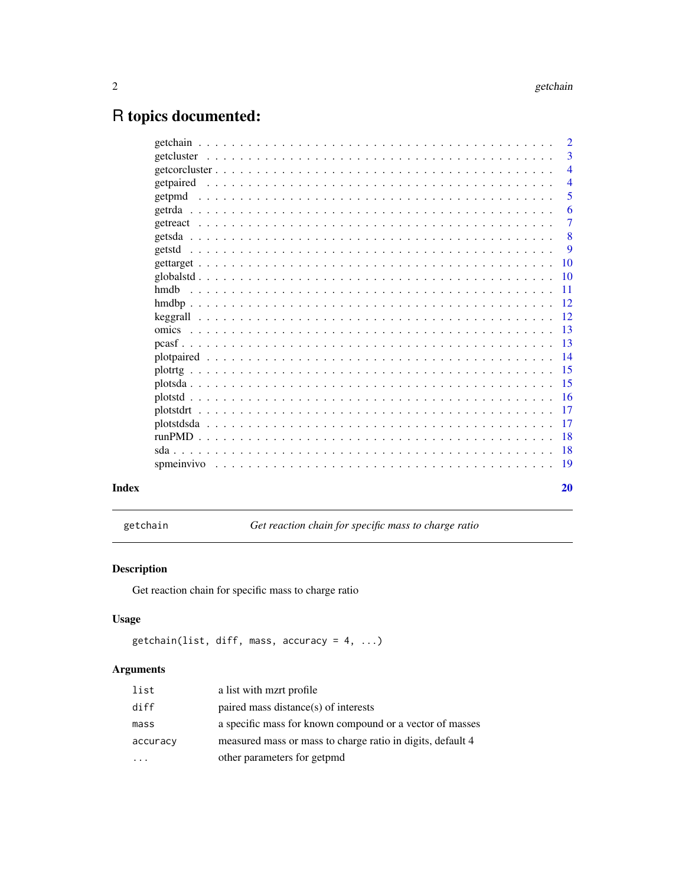# <span id="page-1-0"></span>R topics documented:

|  |  |  |  |  |  |  |  |  |  |  |  |  |  |  |  |  |  |  |  | $\overline{2}$  |
|--|--|--|--|--|--|--|--|--|--|--|--|--|--|--|--|--|--|--|--|-----------------|
|  |  |  |  |  |  |  |  |  |  |  |  |  |  |  |  |  |  |  |  | 3               |
|  |  |  |  |  |  |  |  |  |  |  |  |  |  |  |  |  |  |  |  | $\overline{4}$  |
|  |  |  |  |  |  |  |  |  |  |  |  |  |  |  |  |  |  |  |  | $\overline{4}$  |
|  |  |  |  |  |  |  |  |  |  |  |  |  |  |  |  |  |  |  |  | 5               |
|  |  |  |  |  |  |  |  |  |  |  |  |  |  |  |  |  |  |  |  | 6               |
|  |  |  |  |  |  |  |  |  |  |  |  |  |  |  |  |  |  |  |  | $\overline{7}$  |
|  |  |  |  |  |  |  |  |  |  |  |  |  |  |  |  |  |  |  |  | 8               |
|  |  |  |  |  |  |  |  |  |  |  |  |  |  |  |  |  |  |  |  | 9               |
|  |  |  |  |  |  |  |  |  |  |  |  |  |  |  |  |  |  |  |  | 10              |
|  |  |  |  |  |  |  |  |  |  |  |  |  |  |  |  |  |  |  |  | $\overline{10}$ |
|  |  |  |  |  |  |  |  |  |  |  |  |  |  |  |  |  |  |  |  | -11             |
|  |  |  |  |  |  |  |  |  |  |  |  |  |  |  |  |  |  |  |  |                 |
|  |  |  |  |  |  |  |  |  |  |  |  |  |  |  |  |  |  |  |  |                 |
|  |  |  |  |  |  |  |  |  |  |  |  |  |  |  |  |  |  |  |  | -13             |
|  |  |  |  |  |  |  |  |  |  |  |  |  |  |  |  |  |  |  |  |                 |
|  |  |  |  |  |  |  |  |  |  |  |  |  |  |  |  |  |  |  |  |                 |
|  |  |  |  |  |  |  |  |  |  |  |  |  |  |  |  |  |  |  |  |                 |
|  |  |  |  |  |  |  |  |  |  |  |  |  |  |  |  |  |  |  |  |                 |
|  |  |  |  |  |  |  |  |  |  |  |  |  |  |  |  |  |  |  |  |                 |
|  |  |  |  |  |  |  |  |  |  |  |  |  |  |  |  |  |  |  |  | 17              |
|  |  |  |  |  |  |  |  |  |  |  |  |  |  |  |  |  |  |  |  | 17              |
|  |  |  |  |  |  |  |  |  |  |  |  |  |  |  |  |  |  |  |  |                 |
|  |  |  |  |  |  |  |  |  |  |  |  |  |  |  |  |  |  |  |  |                 |
|  |  |  |  |  |  |  |  |  |  |  |  |  |  |  |  |  |  |  |  |                 |
|  |  |  |  |  |  |  |  |  |  |  |  |  |  |  |  |  |  |  |  | 20              |

getchain *Get reaction chain for specific mass to charge ratio*

# Description

Get reaction chain for specific mass to charge ratio

# Usage

```
getchain(list, diff, mass, accuracy = 4, ...)
```

| list     | a list with mart profile                                   |
|----------|------------------------------------------------------------|
| diff     | paired mass distance(s) of interests                       |
| mass     | a specific mass for known compound or a vector of masses   |
| accuracy | measured mass or mass to charge ratio in digits, default 4 |
|          | other parameters for getpmd                                |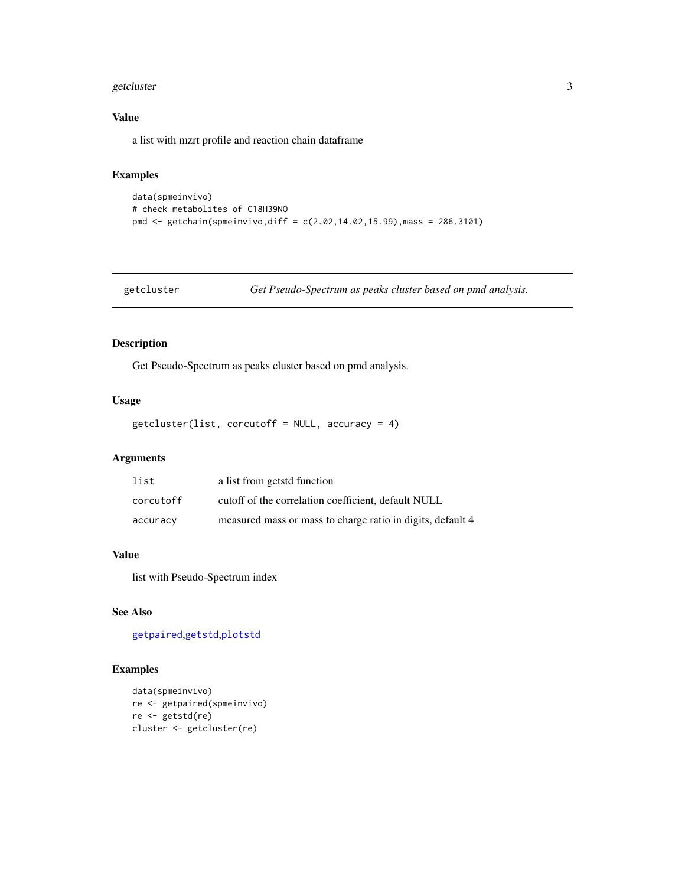#### <span id="page-2-0"></span>getcluster 3

#### Value

a list with mzrt profile and reaction chain dataframe

#### Examples

```
data(spmeinvivo)
# check metabolites of C18H39NO
pmd <- getchain(spmeinvivo,diff = c(2.02,14.02,15.99),mass = 286.3101)
```
#### Description

Get Pseudo-Spectrum as peaks cluster based on pmd analysis.

#### Usage

getcluster(list, corcutoff = NULL, accuracy = 4)

#### Arguments

| list      | a list from getstd function                                |
|-----------|------------------------------------------------------------|
| corcutoff | cutoff of the correlation coefficient, default NULL        |
| accuracy  | measured mass or mass to charge ratio in digits, default 4 |

#### Value

list with Pseudo-Spectrum index

#### See Also

[getpaired](#page-3-1),[getstd](#page-8-1),[plotstd](#page-15-1)

```
data(spmeinvivo)
re <- getpaired(spmeinvivo)
re <- getstd(re)
cluster <- getcluster(re)
```
getcluster *Get Pseudo-Spectrum as peaks cluster based on pmd analysis.*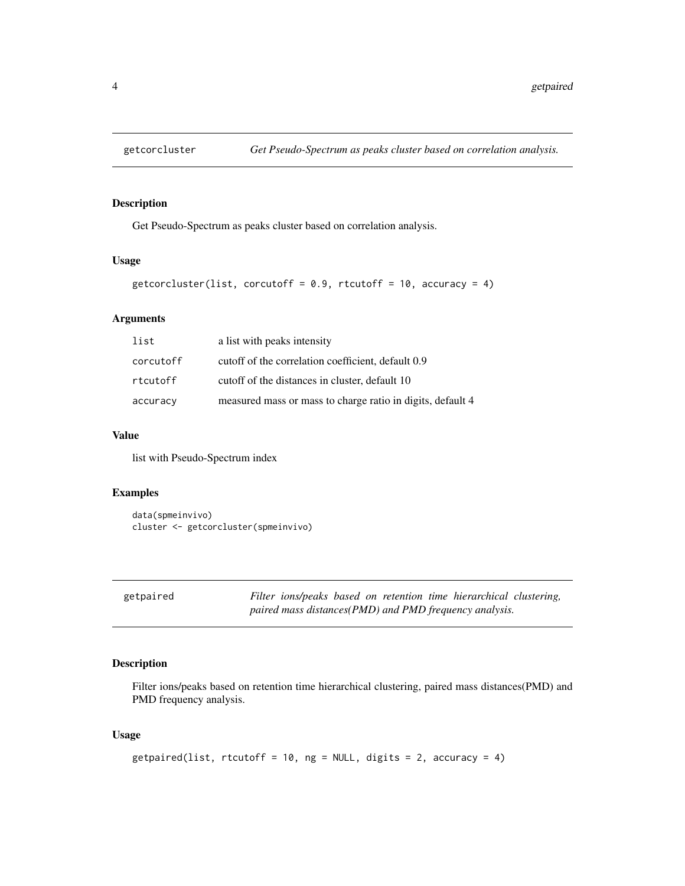<span id="page-3-0"></span>

Get Pseudo-Spectrum as peaks cluster based on correlation analysis.

#### Usage

```
getcorcluster(list, corcutoff = 0.9, rtcutoff = 10, accuracy = 4)
```
#### Arguments

| list      | a list with peaks intensity                                |
|-----------|------------------------------------------------------------|
| corcutoff | cutoff of the correlation coefficient, default 0.9         |
| rtcutoff  | cutoff of the distances in cluster, default 10             |
| accuracy  | measured mass or mass to charge ratio in digits, default 4 |

#### Value

list with Pseudo-Spectrum index

#### Examples

```
data(spmeinvivo)
cluster <- getcorcluster(spmeinvivo)
```
<span id="page-3-1"></span>

| getpaired |
|-----------|
|           |
|           |

Filter ions/peaks based on retention time hierarchical clustering, *paired mass distances(PMD) and PMD frequency analysis.*

#### Description

Filter ions/peaks based on retention time hierarchical clustering, paired mass distances(PMD) and PMD frequency analysis.

#### Usage

```
getpaired(list, rtcutoff = 10, ng = NULL, digits = 2, accuracy = 4)
```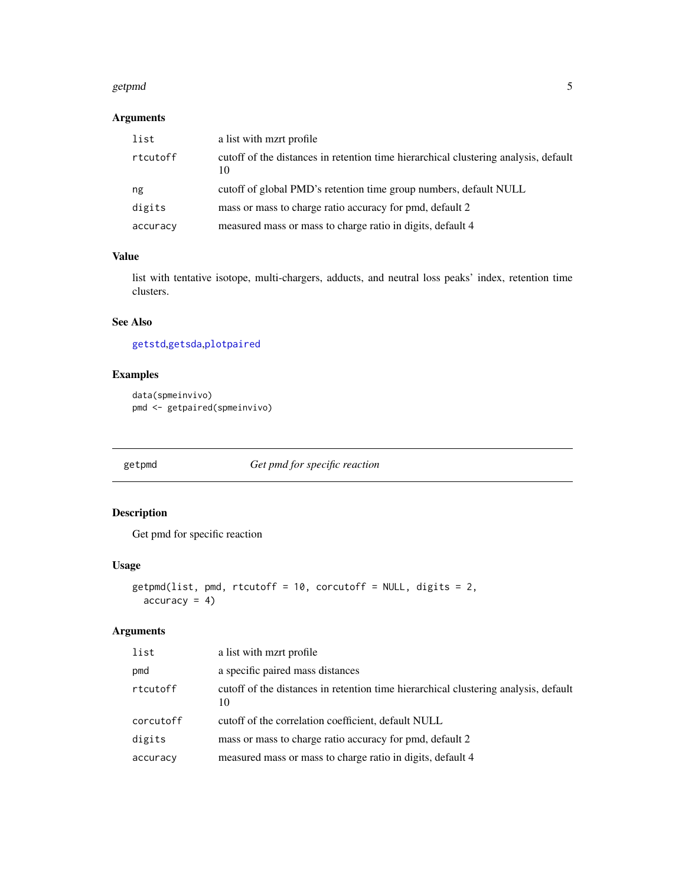#### <span id="page-4-0"></span>getpmd 55 to 55 and 55 and 55 and 55 and 55 and 55 and 55 and 55 and 55 and 55 and 55 and 55 and 55 and 55 and 55 and 55 and 55 and 55 and 55 and 55 and 55 and 55 and 55 and 55 and 55 and 55 and 55 and 55 and 55 and 55 and

### Arguments

| list     | a list with mzrt profile                                                                  |
|----------|-------------------------------------------------------------------------------------------|
| rtcutoff | cutoff of the distances in retention time hierarchical clustering analysis, default<br>10 |
| ng       | cutoff of global PMD's retention time group numbers, default NULL                         |
| digits   | mass or mass to charge ratio accuracy for pmd, default 2                                  |
| accuracy | measured mass or mass to charge ratio in digits, default 4                                |

#### Value

list with tentative isotope, multi-chargers, adducts, and neutral loss peaks' index, retention time clusters.

#### See Also

[getstd](#page-8-1),[getsda](#page-7-1),[plotpaired](#page-13-1)

#### Examples

```
data(spmeinvivo)
pmd <- getpaired(spmeinvivo)
```
<span id="page-4-1"></span>getpmd *Get pmd for specific reaction*

# Description

Get pmd for specific reaction

#### Usage

```
getpmd(list, pmd, rtcutoff = 10, corcutoff = NULL, digits = 2,
  accuracy = 4)
```

| list      | a list with mart profile                                                                  |
|-----------|-------------------------------------------------------------------------------------------|
| pmd       | a specific paired mass distances                                                          |
| rtcutoff  | cutoff of the distances in retention time hierarchical clustering analysis, default<br>10 |
| corcutoff | cutoff of the correlation coefficient, default NULL                                       |
| digits    | mass or mass to charge ratio accuracy for pmd, default 2                                  |
| accuracy  | measured mass or mass to charge ratio in digits, default 4                                |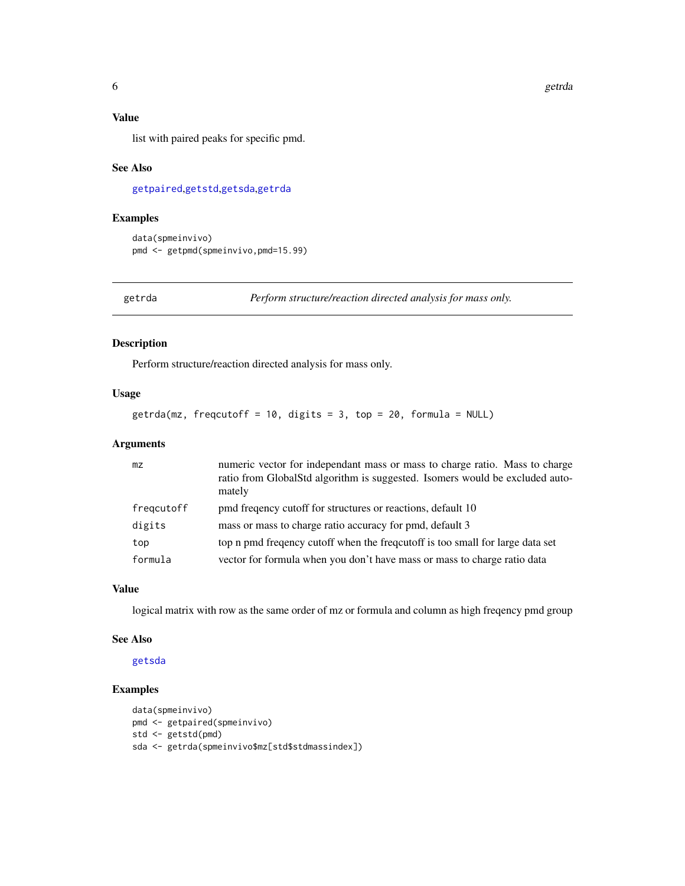#### <span id="page-5-0"></span>Value

list with paired peaks for specific pmd.

#### See Also

[getpaired](#page-3-1),[getstd](#page-8-1),[getsda](#page-7-1),[getrda](#page-5-1)

#### Examples

```
data(spmeinvivo)
pmd <- getpmd(spmeinvivo,pmd=15.99)
```
<span id="page-5-1"></span>getrda *Perform structure/reaction directed analysis for mass only.*

#### Description

Perform structure/reaction directed analysis for mass only.

#### Usage

getrda(mz, freqcutoff = 10, digits = 3, top = 20, formula = NULL)

#### Arguments

| mz         | numeric vector for independant mass or mass to charge ratio. Mass to charge<br>ratio from GlobalStd algorithm is suggested. Isomers would be excluded auto-<br>mately |
|------------|-----------------------------------------------------------------------------------------------------------------------------------------------------------------------|
| fregcutoff | pmd frequency cutoff for structures or reactions, default 10                                                                                                          |
| digits     | mass or mass to charge ratio accuracy for pmd, default 3                                                                                                              |
| top        | top n pmd frequency cutoff when the frequencos is too small for large data set                                                                                        |
| formula    | vector for formula when you don't have mass or mass to charge ratio data                                                                                              |

#### Value

logical matrix with row as the same order of mz or formula and column as high freqency pmd group

#### See Also

[getsda](#page-7-1)

```
data(spmeinvivo)
pmd <- getpaired(spmeinvivo)
std <- getstd(pmd)
sda <- getrda(spmeinvivo$mz[std$stdmassindex])
```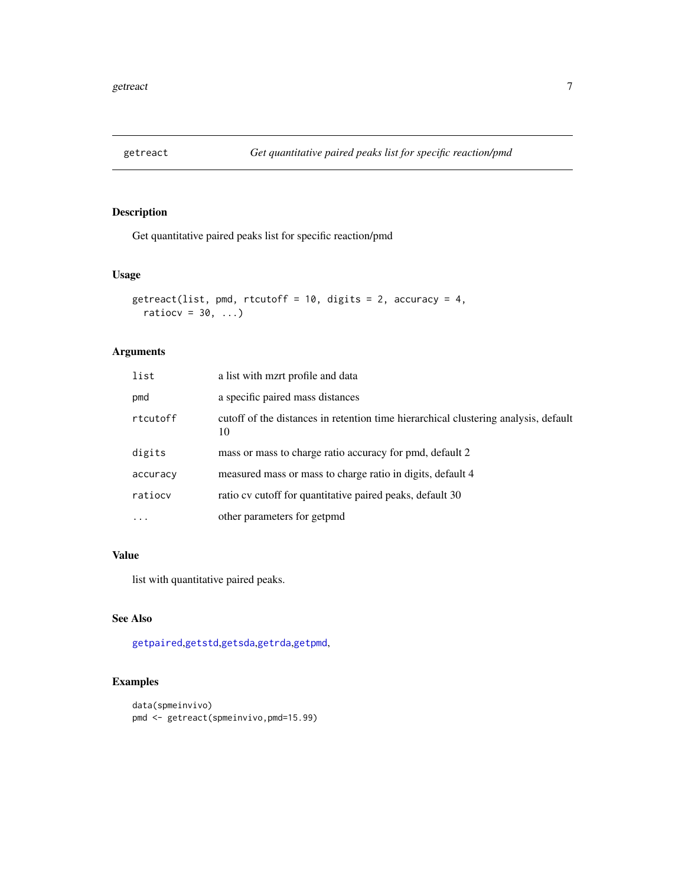<span id="page-6-0"></span>

Get quantitative paired peaks list for specific reaction/pmd

#### Usage

```
getreact(list, pmd, rtcutoff = 10, digits = 2, accuracy = 4,
 ratiocv = 30, ...)
```
#### Arguments

| list     | a list with mzrt profile and data                                                         |
|----------|-------------------------------------------------------------------------------------------|
| pmd      | a specific paired mass distances                                                          |
| rtcutoff | cutoff of the distances in retention time hierarchical clustering analysis, default<br>10 |
| digits   | mass or mass to charge ratio accuracy for pmd, default 2                                  |
| accuracy | measured mass or mass to charge ratio in digits, default 4                                |
| ratiocv  | ratio cv cutoff for quantitative paired peaks, default 30                                 |
| .        | other parameters for getpmd                                                               |

#### Value

list with quantitative paired peaks.

# See Also

[getpaired](#page-3-1),[getstd](#page-8-1),[getsda](#page-7-1),[getrda](#page-5-1),[getpmd](#page-4-1),

```
data(spmeinvivo)
pmd <- getreact(spmeinvivo,pmd=15.99)
```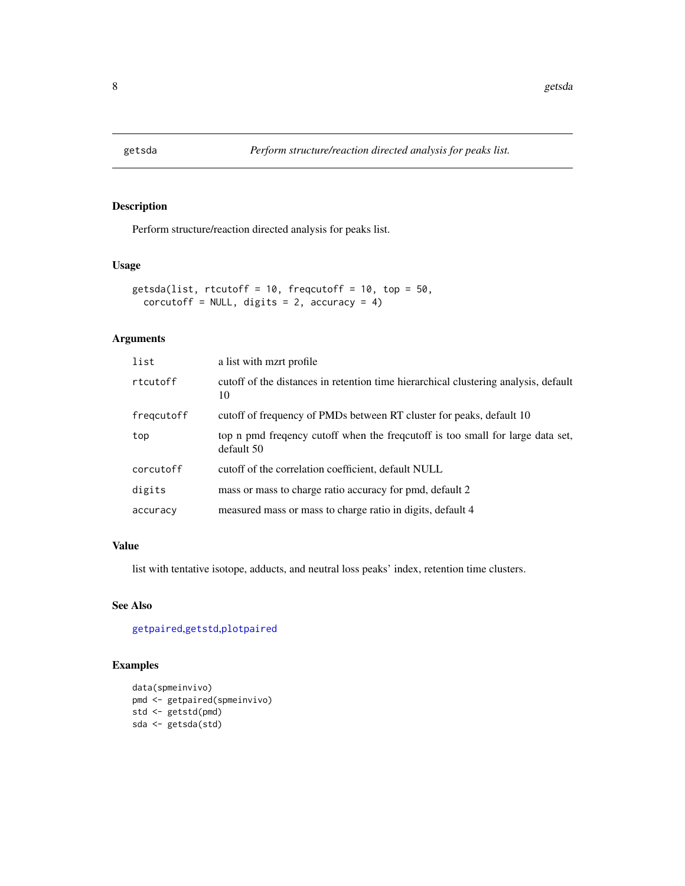<span id="page-7-1"></span><span id="page-7-0"></span>

Perform structure/reaction directed analysis for peaks list.

#### Usage

```
getsda(list, rtcutoff = 10, freqcutoff = 10, top = 50,
  corcutoff = NULL, digits = 2, accuracy = 4)
```
# Arguments

| list       | a list with mzrt profile                                                                       |
|------------|------------------------------------------------------------------------------------------------|
| rtcutoff   | cutoff of the distances in retention time hierarchical clustering analysis, default<br>10      |
| freqcutoff | cutoff of frequency of PMDs between RT cluster for peaks, default 10                           |
| top        | top n pmd frequency cutoff when the frequential is too small for large data set,<br>default 50 |
| corcutoff  | cutoff of the correlation coefficient, default NULL                                            |
| digits     | mass or mass to charge ratio accuracy for pmd, default 2                                       |
| accuracy   | measured mass or mass to charge ratio in digits, default 4                                     |

#### Value

list with tentative isotope, adducts, and neutral loss peaks' index, retention time clusters.

#### See Also

[getpaired](#page-3-1),[getstd](#page-8-1),[plotpaired](#page-13-1)

```
data(spmeinvivo)
pmd <- getpaired(spmeinvivo)
std <- getstd(pmd)
sda <- getsda(std)
```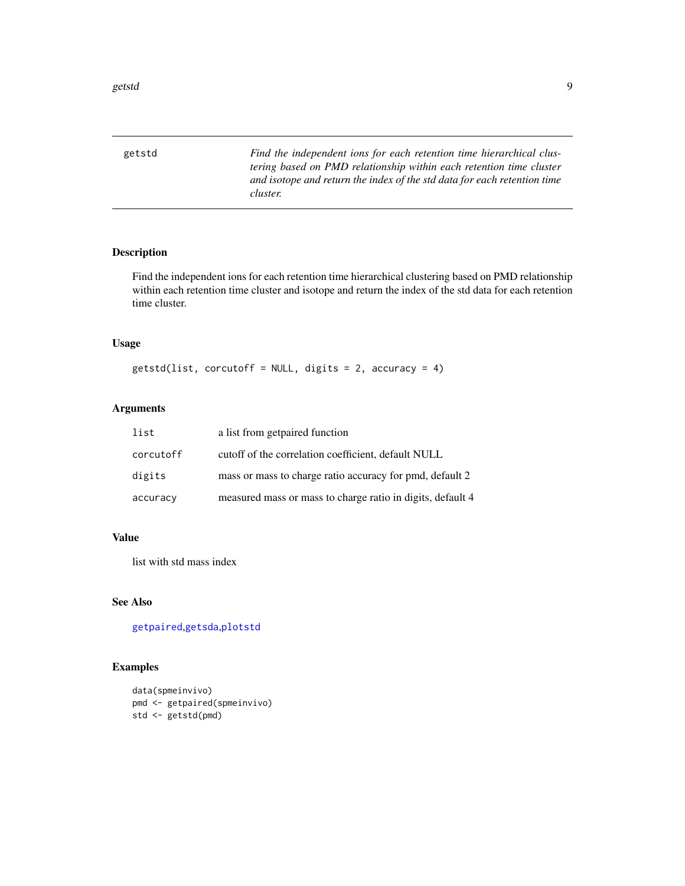<span id="page-8-1"></span><span id="page-8-0"></span>getstd *Find the independent ions for each retention time hierarchical clustering based on PMD relationship within each retention time cluster and isotope and return the index of the std data for each retention time cluster.*

#### Description

Find the independent ions for each retention time hierarchical clustering based on PMD relationship within each retention time cluster and isotope and return the index of the std data for each retention time cluster.

#### Usage

 $getsd(list, corcutoff = NULL, digits = 2, accuracy = 4)$ 

#### Arguments

| list      | a list from getpaired function                             |
|-----------|------------------------------------------------------------|
| corcutoff | cutoff of the correlation coefficient, default NULL        |
| digits    | mass or mass to charge ratio accuracy for pmd, default 2   |
| accuracy  | measured mass or mass to charge ratio in digits, default 4 |

#### Value

list with std mass index

#### See Also

[getpaired](#page-3-1),[getsda](#page-7-1),[plotstd](#page-15-1)

```
data(spmeinvivo)
pmd <- getpaired(spmeinvivo)
std <- getstd(pmd)
```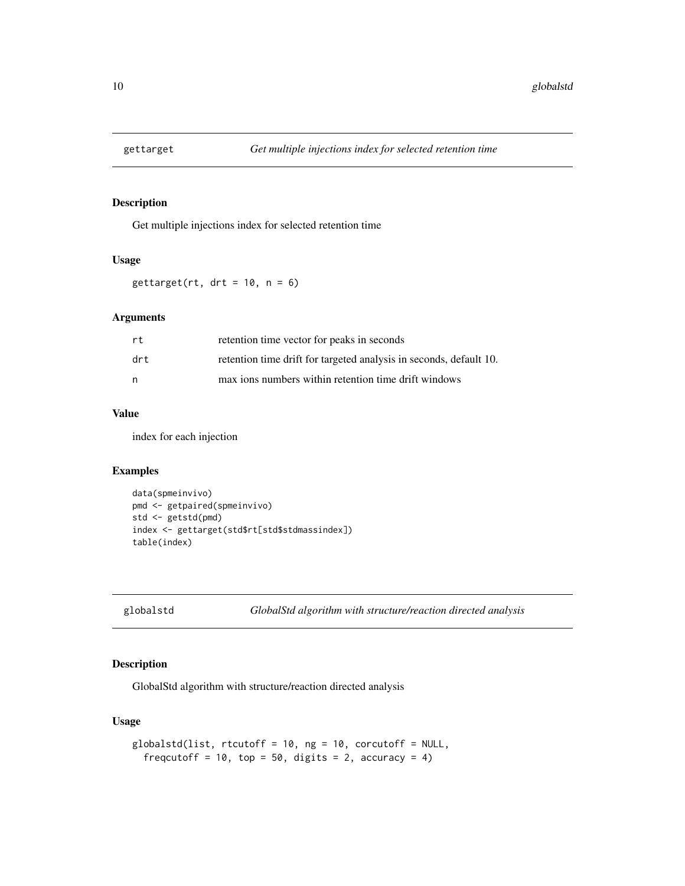<span id="page-9-0"></span>

Get multiple injections index for selected retention time

#### Usage

 $gettarget(rt, drt = 10, n = 6)$ 

#### Arguments

| rt   | retention time vector for peaks in seconds                         |
|------|--------------------------------------------------------------------|
| drt. | retention time drift for targeted analysis in seconds, default 10. |
| n    | max ions numbers within retention time drift windows               |

#### Value

index for each injection

#### Examples

```
data(spmeinvivo)
pmd <- getpaired(spmeinvivo)
std <- getstd(pmd)
index <- gettarget(std$rt[std$stdmassindex])
table(index)
```

```
globalstd GlobalStd algorithm with structure/reaction directed analysis
```
#### Description

GlobalStd algorithm with structure/reaction directed analysis

#### Usage

```
globalstd(list, rtcutoff = 10, ng = 10, corcutoff = NULL,
  freqcutoff = 10, top = 50, digits = 2, accuracy = 4)
```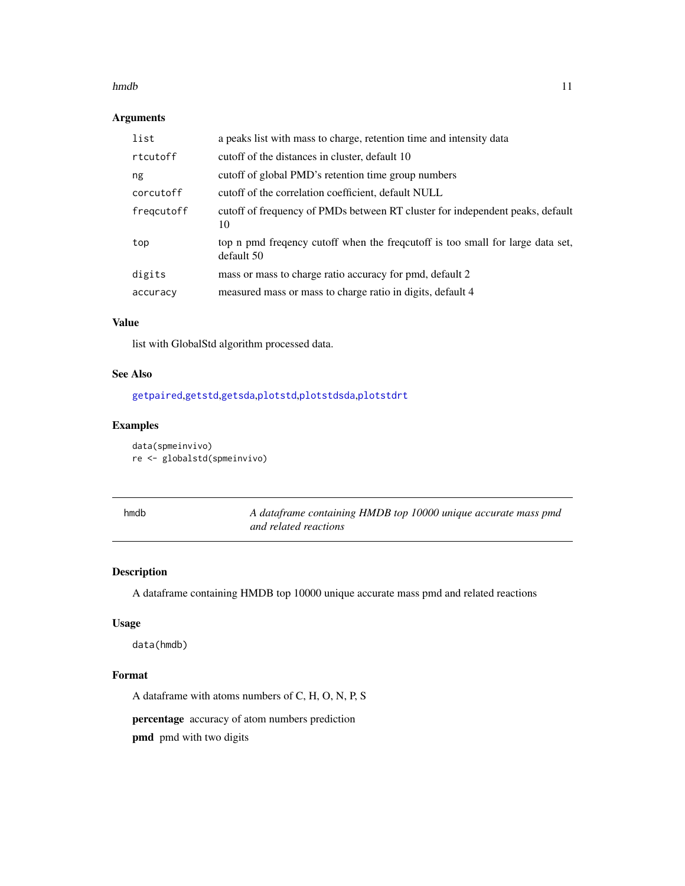#### <span id="page-10-0"></span>hmdb 11

#### Arguments

| list       | a peaks list with mass to charge, retention time and intensity data                           |
|------------|-----------------------------------------------------------------------------------------------|
| rtcutoff   | cutoff of the distances in cluster, default 10                                                |
| ng         | cutoff of global PMD's retention time group numbers                                           |
| corcutoff  | cutoff of the correlation coefficient, default NULL                                           |
| freqcutoff | cutoff of frequency of PMDs between RT cluster for independent peaks, default<br>10           |
| top        | top n pmd frequency cutoff when the frequetoff is too small for large data set,<br>default 50 |
| digits     | mass or mass to charge ratio accuracy for pmd, default 2                                      |
| accuracy   | measured mass or mass to charge ratio in digits, default 4                                    |

#### Value

list with GlobalStd algorithm processed data.

#### See Also

[getpaired](#page-3-1),[getstd](#page-8-1),[getsda](#page-7-1),[plotstd](#page-15-1),[plotstdsda](#page-16-1),[plotstdrt](#page-16-2)

#### Examples

data(spmeinvivo) re <- globalstd(spmeinvivo)

| шо |
|----|
|----|

A dataframe containing HMDB top 10000 unique accurate mass pmd *and related reactions*

# Description

A dataframe containing HMDB top 10000 unique accurate mass pmd and related reactions

#### Usage

data(hmdb)

#### Format

A dataframe with atoms numbers of C, H, O, N, P, S

percentage accuracy of atom numbers prediction

pmd pmd with two digits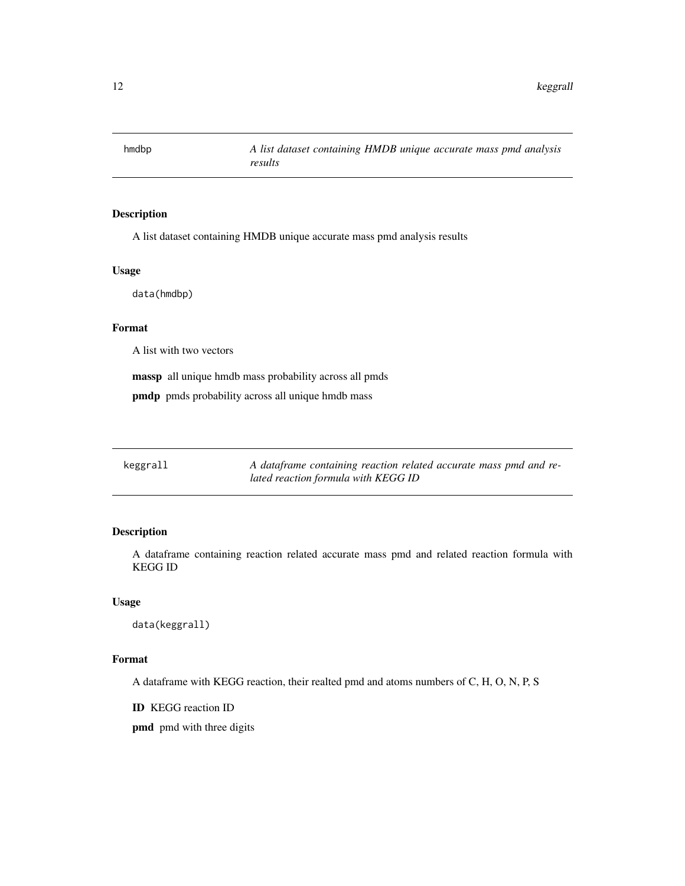<span id="page-11-0"></span>

A list dataset containing HMDB unique accurate mass pmd analysis results

#### Usage

data(hmdbp)

### Format

A list with two vectors

massp all unique hmdb mass probability across all pmds

pmdp pmds probability across all unique hmdb mass

| keggrall | A dataframe containing reaction related accurate mass pmd and re- |
|----------|-------------------------------------------------------------------|
|          | lated reaction formula with KEGG ID                               |

#### Description

A dataframe containing reaction related accurate mass pmd and related reaction formula with KEGG ID

#### Usage

data(keggrall)

#### Format

A dataframe with KEGG reaction, their realted pmd and atoms numbers of C, H, O, N, P, S

ID KEGG reaction ID

pmd pmd with three digits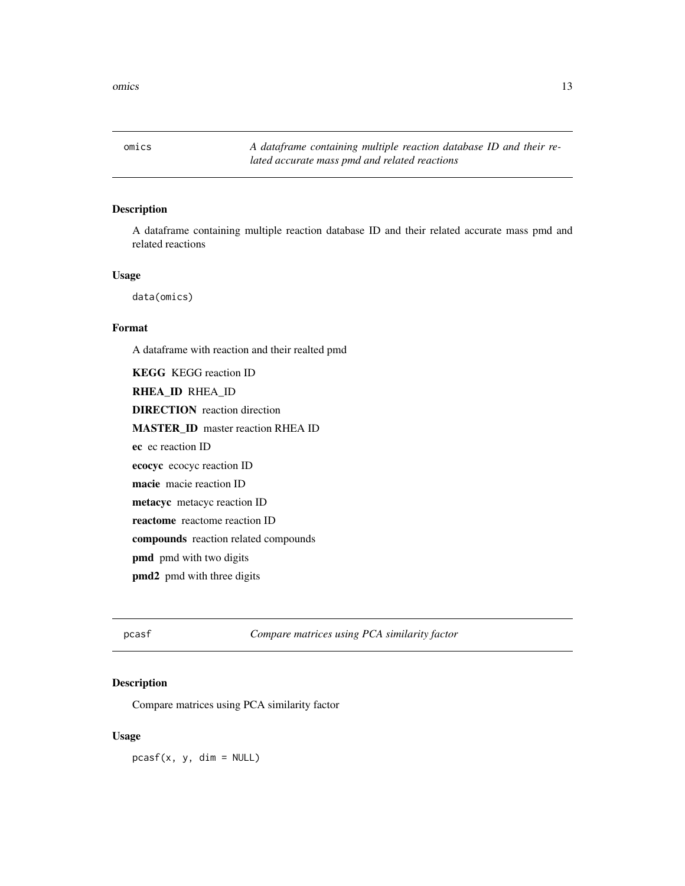<span id="page-12-0"></span>omics *A dataframe containing multiple reaction database ID and their related accurate mass pmd and related reactions*

#### Description

A dataframe containing multiple reaction database ID and their related accurate mass pmd and related reactions

#### Usage

data(omics)

#### Format

A dataframe with reaction and their realted pmd

KEGG KEGG reaction ID RHEA\_ID RHEA\_ID DIRECTION reaction direction MASTER\_ID master reaction RHEA ID ec ec reaction ID ecocyc ecocyc reaction ID macie macie reaction ID metacyc metacyc reaction ID reactome reactome reaction ID compounds reaction related compounds pmd pmd with two digits pmd2 pmd with three digits

pcasf *Compare matrices using PCA similarity factor*

#### Description

Compare matrices using PCA similarity factor

#### Usage

 $pcasf(x, y, dim = NULL)$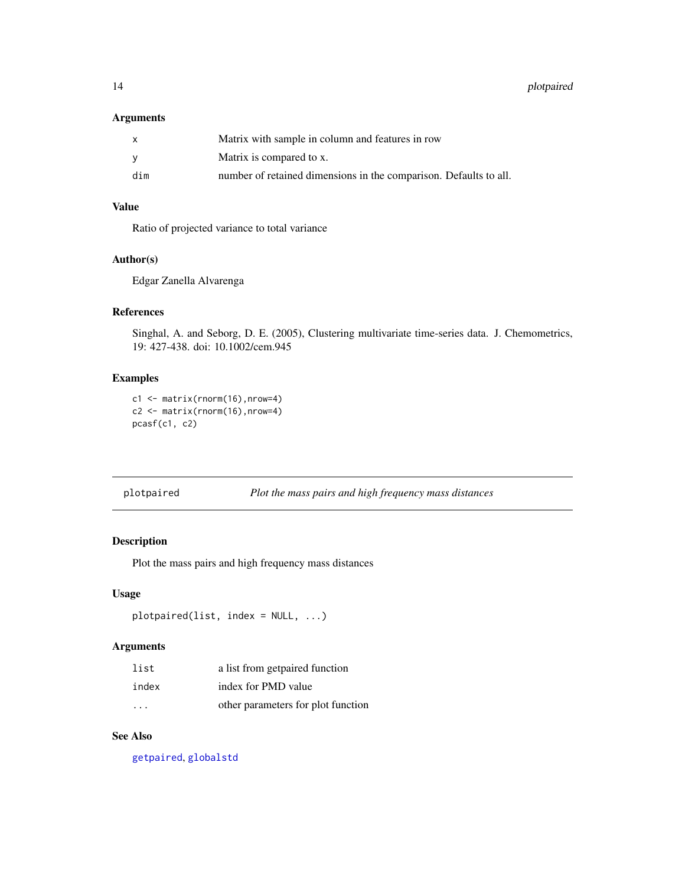#### <span id="page-13-0"></span>Arguments

| X   | Matrix with sample in column and features in row                  |
|-----|-------------------------------------------------------------------|
| v   | Matrix is compared to x.                                          |
| dim | number of retained dimensions in the comparison. Defaults to all. |

#### Value

Ratio of projected variance to total variance

#### Author(s)

Edgar Zanella Alvarenga

#### References

Singhal, A. and Seborg, D. E. (2005), Clustering multivariate time-series data. J. Chemometrics, 19: 427-438. doi: 10.1002/cem.945

#### Examples

```
c1 <- matrix(rnorm(16),nrow=4)
c2 <- matrix(rnorm(16),nrow=4)
pcasf(c1, c2)
```
#### <span id="page-13-1"></span>plotpaired *Plot the mass pairs and high frequency mass distances*

### Description

Plot the mass pairs and high frequency mass distances

#### Usage

```
plotpaired(list, index = NULL, ...)
```
#### Arguments

| list                    | a list from getpaired function     |
|-------------------------|------------------------------------|
| index                   | index for PMD value                |
| $\cdot$ $\cdot$ $\cdot$ | other parameters for plot function |

# See Also

[getpaired](#page-3-1), [globalstd](#page-9-1)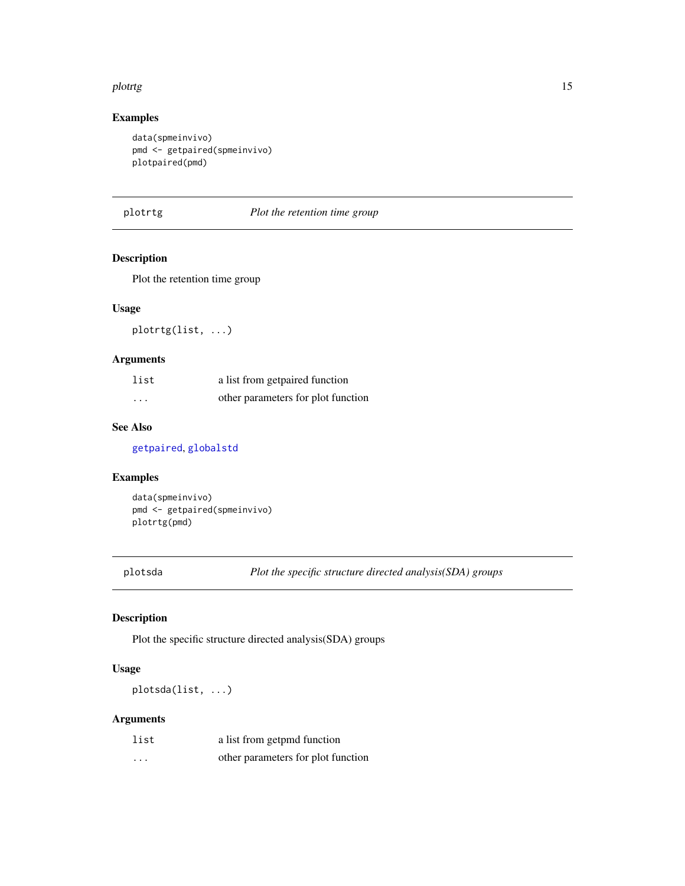#### <span id="page-14-0"></span>plotrtg that the state of the state of the state of the state of the state of the state of the state of the state of the state of the state of the state of the state of the state of the state of the state of the state of t

#### Examples

```
data(spmeinvivo)
pmd <- getpaired(spmeinvivo)
plotpaired(pmd)
```

| plotr | ø |
|-------|---|
|       | ┑ |

plot the retention time group

# Description

Plot the retention time group

### Usage

plotrtg(list, ...)

#### Arguments

| list     | a list from getpaired function     |
|----------|------------------------------------|
| $\cdots$ | other parameters for plot function |

#### See Also

[getpaired](#page-3-1), [globalstd](#page-9-1)

#### Examples

```
data(spmeinvivo)
pmd <- getpaired(spmeinvivo)
plotrtg(pmd)
```
plotsda *Plot the specific structure directed analysis(SDA) groups*

#### Description

Plot the specific structure directed analysis(SDA) groups

#### Usage

plotsda(list, ...)

| list     | a list from getpmd function        |
|----------|------------------------------------|
| $\cdots$ | other parameters for plot function |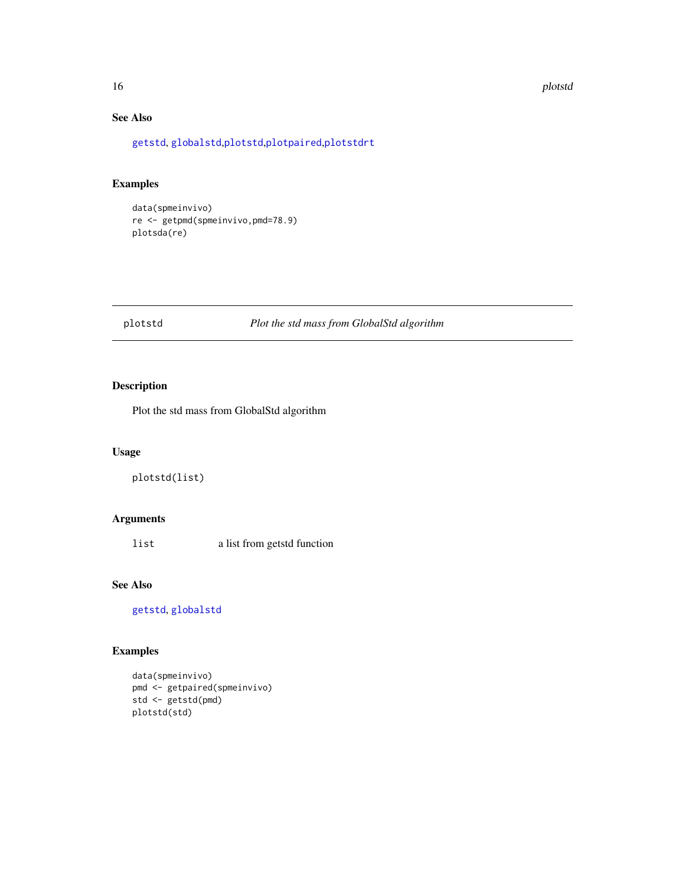#### <span id="page-15-0"></span>16 plotstd

# See Also

[getstd](#page-8-1), [globalstd](#page-9-1),[plotstd](#page-15-1),[plotpaired](#page-13-1),[plotstdrt](#page-16-2)

#### Examples

```
data(spmeinvivo)
re <- getpmd(spmeinvivo,pmd=78.9)
plotsda(re)
```
#### <span id="page-15-1"></span>plotstd *Plot the std mass from GlobalStd algorithm*

#### Description

Plot the std mass from GlobalStd algorithm

#### Usage

plotstd(list)

# Arguments

list a list from getstd function

### See Also

[getstd](#page-8-1), [globalstd](#page-9-1)

```
data(spmeinvivo)
pmd <- getpaired(spmeinvivo)
std <- getstd(pmd)
plotstd(std)
```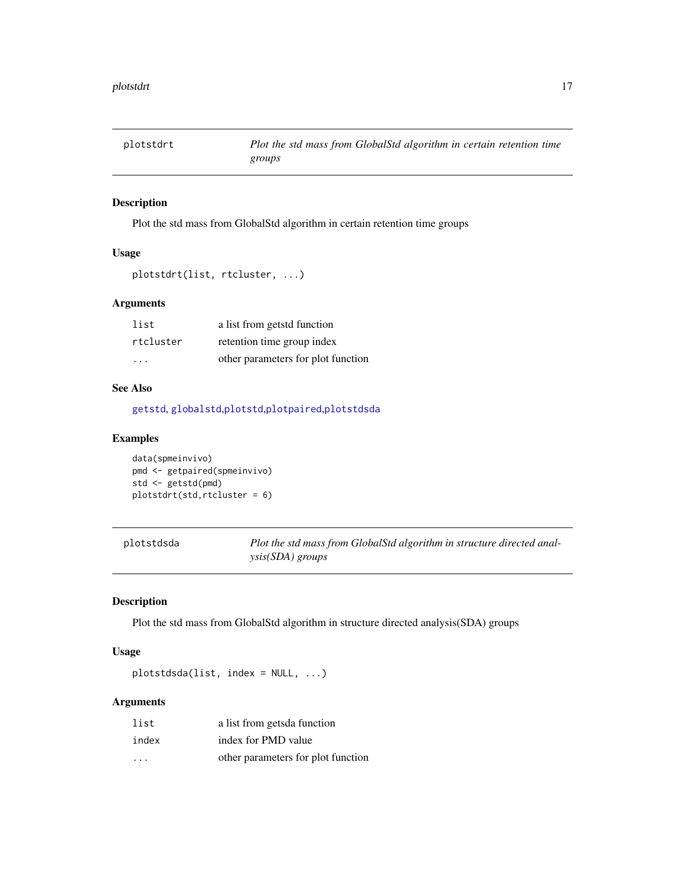<span id="page-16-2"></span><span id="page-16-0"></span>

Plot the std mass from GlobalStd algorithm in certain retention time groups

#### Usage

```
plotstdrt(list, rtcluster, ...)
```
### Arguments

| list      | a list from getstd function        |
|-----------|------------------------------------|
| rtcluster | retention time group index         |
| .         | other parameters for plot function |

#### See Also

[getstd](#page-8-1), [globalstd](#page-9-1),[plotstd](#page-15-1),[plotpaired](#page-13-1),[plotstdsda](#page-16-1)

#### Examples

data(spmeinvivo) pmd <- getpaired(spmeinvivo) std <- getstd(pmd) plotstdrt(std,rtcluster = 6)

<span id="page-16-1"></span>

| plotstdsda | Plot the std mass from GlobalStd algorithm in structure directed anal- |
|------------|------------------------------------------------------------------------|
|            | $\gamma$ sis(SDA) groups                                               |

#### Description

Plot the std mass from GlobalStd algorithm in structure directed analysis(SDA) groups

#### Usage

plotstdsda(list, index = NULL, ...)

| list    | a list from getsda function        |
|---------|------------------------------------|
| index   | index for PMD value                |
| $\cdot$ | other parameters for plot function |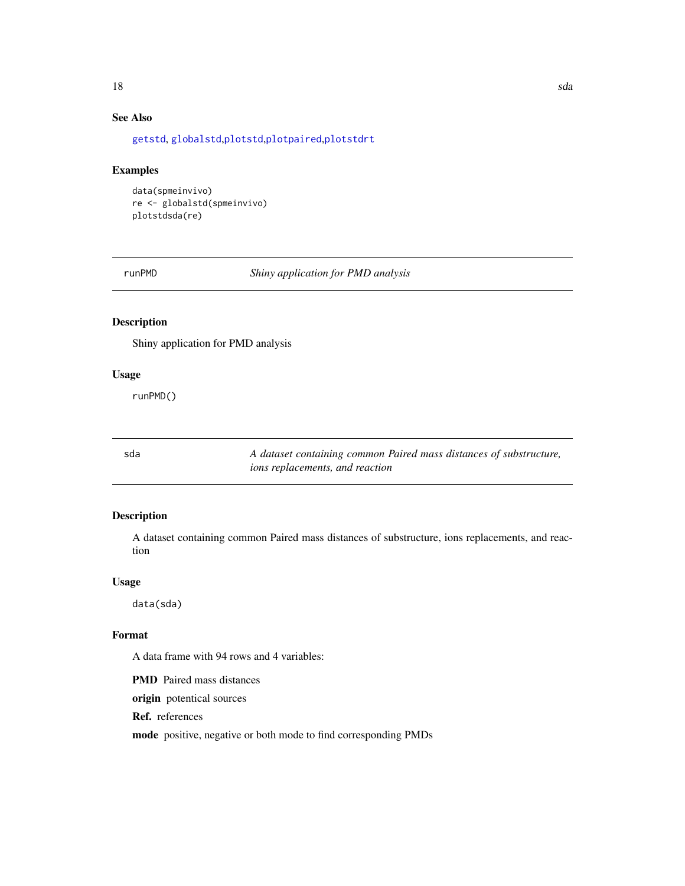# <span id="page-17-0"></span>See Also

[getstd](#page-8-1), [globalstd](#page-9-1),[plotstd](#page-15-1),[plotpaired](#page-13-1),[plotstdrt](#page-16-2)

#### Examples

```
data(spmeinvivo)
re <- globalstd(spmeinvivo)
plotstdsda(re)
```
runPMD *Shiny application for PMD analysis*

#### Description

Shiny application for PMD analysis

#### Usage

runPMD()

sda *A dataset containing common Paired mass distances of substructure, ions replacements, and reaction*

#### Description

A dataset containing common Paired mass distances of substructure, ions replacements, and reaction

#### Usage

data(sda)

#### Format

A data frame with 94 rows and 4 variables:

PMD Paired mass distances

origin potentical sources

Ref. references

mode positive, negative or both mode to find corresponding PMDs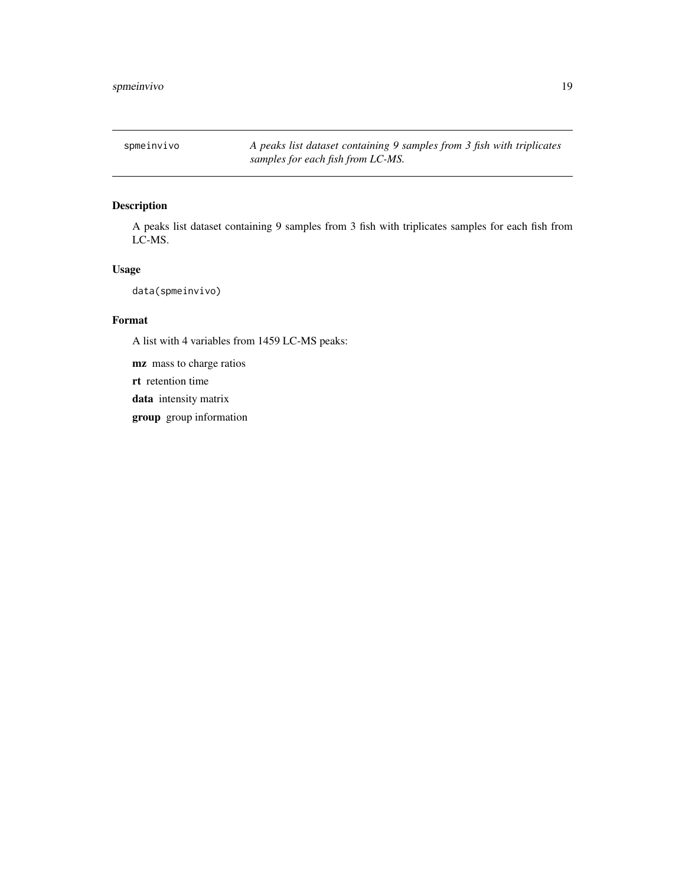<span id="page-18-0"></span>spmeinvivo *A peaks list dataset containing 9 samples from 3 fish with triplicates samples for each fish from LC-MS.*

# Description

A peaks list dataset containing 9 samples from 3 fish with triplicates samples for each fish from LC-MS.

#### Usage

data(spmeinvivo)

# Format

A list with 4 variables from 1459 LC-MS peaks:

mz mass to charge ratios

rt retention time

data intensity matrix

group group information